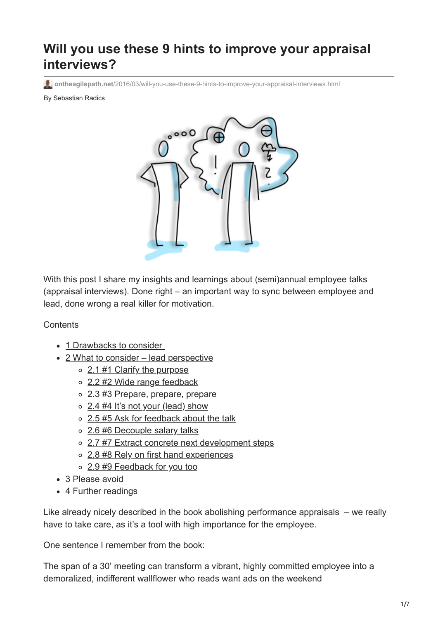# **Will you use these 9 hints to improve your appraisal interviews?**

**ontheagilepath.net**[/2016/03/will-you-use-these-9-hints-to-improve-your-appraisal-interviews.html](https://www.ontheagilepath.net/2016/03/will-you-use-these-9-hints-to-improve-your-appraisal-interviews.html)

By Sebastian Radics



With this post I share my insights and learnings about (semi)annual employee talks (appraisal interviews). Done right – an important way to sync between employee and lead, done wrong a real killer for motivation.

#### **Contents**

- 1 Drawbacks to consider
- [2 What to consider lead perspective](#page-2-0)
	- [2.1 #1 Clarify the purpose](#page-2-1)
	- [2.2 #2 Wide range feedback](#page-3-0)
	- o [2.3 #3 Prepare, prepare, prepare](#page-4-0)
	- [2.4 #4 It's not your \(lead\) show](#page-4-1)
	- o [2.5 #5 Ask for feedback about the talk](#page-4-2)
	- [2.6 #6 Decouple salary talks](#page-4-3)
	- [2.7 #7 Extract concrete next development steps](#page-5-0)
	- [2.8 #8 Rely on first hand experiences](#page-5-1)
	- o [2.9 #9 Feedback for you too](#page-5-2)
- [3 Please avoid](#page-5-3)
- [4 Further readings](#page-5-4)

Like already nicely described in the book [abolishing performance appraisals](http://www.amazon.de/Abolishing-Performance-Appraisals-Backfire-Instead/dp/1576752003) – we really have to take care, as it's a tool with high importance for the employee.

One sentence I remember from the book:

The span of a 30' meeting can transform a vibrant, highly committed employee into a demoralized, indifferent wallflower who reads want ads on the weekend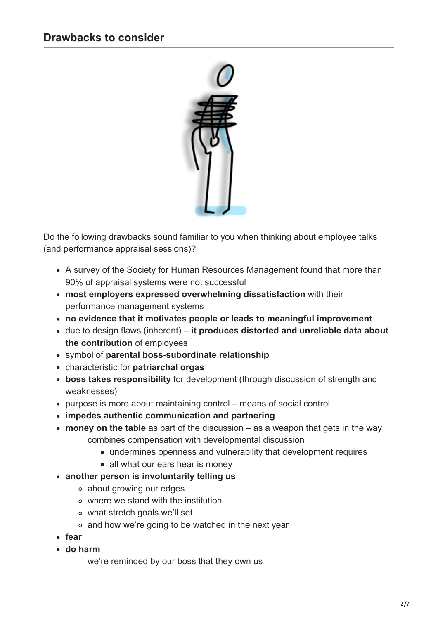<span id="page-1-0"></span>

Do the following drawbacks sound familiar to you when thinking about employee talks (and performance appraisal sessions)?

- A survey of the Society for Human Resources Management found that more than 90% of appraisal systems were not successful
- **most employers expressed overwhelming dissatisfaction** with their performance management systems
- **no evidence that it motivates people or leads to meaningful improvement**
- due to design flaws (inherent) **it produces distorted and unreliable data about the contribution** of employees
- symbol of **parental boss-subordinate relationship**
- characteristic for **patriarchal orgas**
- **boss takes responsibility** for development (through discussion of strength and weaknesses)
- purpose is more about maintaining control means of social control
- **impedes authentic communication and partnering**
- **money on the table** as part of the discussion as a weapon that gets in the way combines compensation with developmental discussion
	- undermines openness and vulnerability that development requires
	- **all what our ears hear is money**
- **another person is involuntarily telling us**
	- about growing our edges
	- where we stand with the institution
	- what stretch goals we'll set
	- and how we're going to be watched in the next year
- **fear**
- **do harm**

we're reminded by our boss that they own us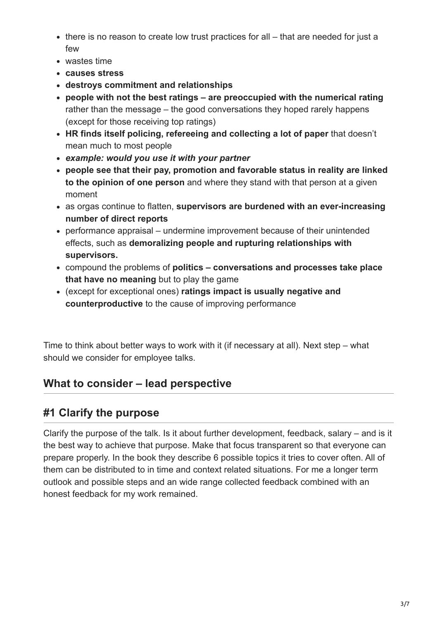- there is no reason to create low trust practices for all that are needed for just a few
- wastes time
- **causes stress**
- **destroys commitment and relationships**
- **people with not the best ratings are preoccupied with the numerical rating** rather than the message – the good conversations they hoped rarely happens (except for those receiving top ratings)
- **HR finds itself policing, refereeing and collecting a lot of paper** that doesn't mean much to most people
- *example: would you use it with your partner*
- **people see that their pay, promotion and favorable status in reality are linked to the opinion of one person** and where they stand with that person at a given moment
- as orgas continue to flatten, **supervisors are burdened with an ever-increasing number of direct reports**
- performance appraisal undermine improvement because of their unintended effects, such as **demoralizing people and rupturing relationships with supervisors.**
- compound the problems of **politics conversations and processes take place that have no meaning** but to play the game
- (except for exceptional ones) **ratings impact is usually negative and counterproductive** to the cause of improving performance

Time to think about better ways to work with it (if necessary at all). Next step – what should we consider for employee talks.

# <span id="page-2-0"></span>**What to consider – lead perspective**

# <span id="page-2-1"></span>**#1 Clarify the purpose**

Clarify the purpose of the talk. Is it about further development, feedback, salary – and is it the best way to achieve that purpose. Make that focus transparent so that everyone can prepare properly. In the book they describe 6 possible topics it tries to cover often. All of them can be distributed to in time and context related situations. For me a longer term outlook and possible steps and an wide range collected feedback combined with an honest feedback for my work remained.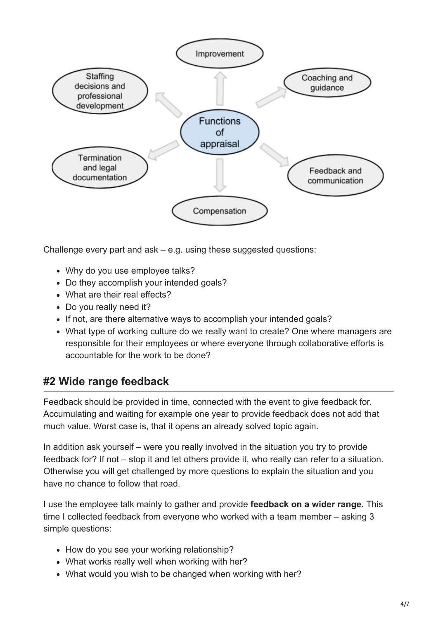

Challenge every part and ask – e.g. using these suggested questions:

- Why do you use employee talks?
- Do they accomplish your intended goals?
- What are their real effects?
- Do you really need it?
- If not, are there alternative ways to accomplish your intended goals?
- What type of working culture do we really want to create? One where managers are responsible for their employees or where everyone through collaborative efforts is accountable for the work to be done?

### <span id="page-3-0"></span>**#2 Wide range feedback**

Feedback should be provided in time, connected with the event to give feedback for. Accumulating and waiting for example one year to provide feedback does not add that much value. Worst case is, that it opens an already solved topic again.

In addition ask yourself – were you really involved in the situation you try to provide feedback for? If not – stop it and let others provide it, who really can refer to a situation. Otherwise you will get challenged by more questions to explain the situation and you have no chance to follow that road.

I use the employee talk mainly to gather and provide **feedback on a wider range.** This time I collected feedback from everyone who worked with a team member – asking 3 simple questions:

- How do you see your working relationship?
- What works really well when working with her?
- What would you wish to be changed when working with her?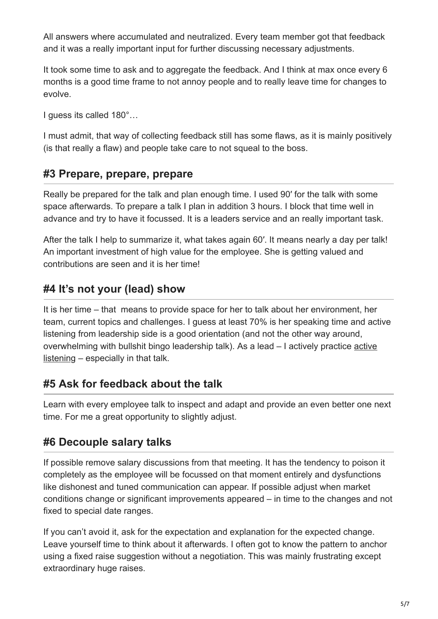All answers where accumulated and neutralized. Every team member got that feedback and it was a really important input for further discussing necessary adjustments.

It took some time to ask and to aggregate the feedback. And I think at max once every 6 months is a good time frame to not annoy people and to really leave time for changes to evolve.

I guess its called 180°…

I must admit, that way of collecting feedback still has some flaws, as it is mainly positively (is that really a flaw) and people take care to not squeal to the boss.

#### <span id="page-4-0"></span>**#3 Prepare, prepare, prepare**

Really be prepared for the talk and plan enough time. I used 90′ for the talk with some space afterwards. To prepare a talk I plan in addition 3 hours. I block that time well in advance and try to have it focussed. It is a leaders service and an really important task.

After the talk I help to summarize it, what takes again 60′. It means nearly a day per talk! An important investment of high value for the employee. She is getting valued and contributions are seen and it is her time!

#### <span id="page-4-1"></span>**#4 It's not your (lead) show**

It is her time – that means to provide space for her to talk about her environment, her team, current topics and challenges. I guess at least 70% is her speaking time and active listening from leadership side is a good orientation (and not the other way around, [overwhelming with bullshit bingo leadership talk\). As a lead – I actively practice active](https://en.wikipedia.org/wiki/Active_listening) listening – especially in that talk.

#### <span id="page-4-2"></span>**#5 Ask for feedback about the talk**

Learn with every employee talk to inspect and adapt and provide an even better one next time. For me a great opportunity to slightly adjust.

#### <span id="page-4-3"></span>**#6 Decouple salary talks**

If possible remove salary discussions from that meeting. It has the tendency to poison it completely as the employee will be focussed on that moment entirely and dysfunctions like dishonest and tuned communication can appear. If possible adjust when market conditions change or significant improvements appeared – in time to the changes and not fixed to special date ranges.

If you can't avoid it, ask for the expectation and explanation for the expected change. Leave yourself time to think about it afterwards. I often got to know the pattern to anchor using a fixed raise suggestion without a negotiation. This was mainly frustrating except extraordinary huge raises.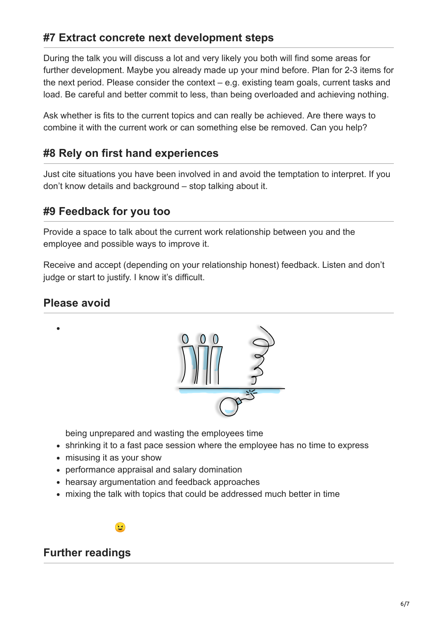### <span id="page-5-0"></span>**#7 Extract concrete next development steps**

During the talk you will discuss a lot and very likely you both will find some areas for further development. Maybe you already made up your mind before. Plan for 2-3 items for the next period. Please consider the context – e.g. existing team goals, current tasks and load. Be careful and better commit to less, than being overloaded and achieving nothing.

Ask whether is fits to the current topics and can really be achieved. Are there ways to combine it with the current work or can something else be removed. Can you help?

### <span id="page-5-1"></span>**#8 Rely on first hand experiences**

Just cite situations you have been involved in and avoid the temptation to interpret. If you don't know details and background – stop talking about it.

#### <span id="page-5-2"></span>**#9 Feedback for you too**

Provide a space to talk about the current work relationship between you and the employee and possible ways to improve it.

Receive and accept (depending on your relationship honest) feedback. Listen and don't judge or start to justify. I know it's difficult.

#### <span id="page-5-3"></span>**Please avoid**



being unprepared and wasting the employees time

- shrinking it to a fast pace session where the employee has no time to express
- misusing it as your show
- performance appraisal and salary domination
- hearsay argumentation and feedback approaches
- mixing the talk with topics that could be addressed much better in time



#### <span id="page-5-4"></span>**Further readings**